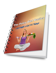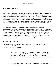### **What is the Paleo Diet?**

For 2.5 million years, early man foraged and hunted for seafood, meat, vegetables, fruit, nuts, roots and seeds. This period of time before the development of agriculture is known as the Paleolithic era. The Paleo diet is also known as the Stone Age diet, huntergathering diet and the caveman diet. No matter what you call our ancestors, some things haven't changed. Man's digestive systems have evolved only the slightest amount in the 10,000 years since farming changed our diets. Shortened to Paleo, the modern diet is an approach to nutrition that mimics the early man's diet for ultimate health.

Our minds are modern, but our bodies and brains still need the same food. Gastroenterologist Walter L. Voegtlin first popularized the Paleo diet in the 1970's. He argued in, "The Stone Age Diet," humans as carnivores, chiefly needs fats, proteins and a small amount of carbohydrates for optimum performance. For the last 30 years, obesity has been increasing in the United States. Our modern diets are laden with preservatives, processed sugars, and fried foods. Today's health crisis has led to a renewed interest in Voegtlin's tested approach to healthy living.

### **Benefits of the Paleo Diet**

The advantages of the Paleo Diet have been researched and proven in numerous academic journals. It is amazing how changing what we put in our mouths can cause dramatic changes in our quality of life.

- $\circ$  Lose fat-Though the Paleo diet is designed as a weight loss plan people inherently lose weight. The foods that make up the Paleo diet are what we call fat burning foods. In fact, the Paleo diet allows you to eat large quantities of delicious food while restricting calories. The result is a lean, fit body.
- o Fight Disease- The Paleo diet is proven to help prevent diabetes, Parkinson's avoid Parkinson's, cancer, heart disease and strokes.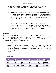- o Improve Digestion- Many digestive problems such as, irritable bowel syndrome, Crohn's disease and indigestion can be avoided.
- $\circ$  Combats Acne– Eating the Paleo way means avoiding the foods that cause acne. When sebum is overproduced or obstructed the sebaceous glands enlarge and form pimples. Foods in the Paleo diet do not cause the insulin spikes that cause a sebum boost. As a result, you can expect smoother, more attractive skin.
- o Feel Good- Not only does the Paleo diet help people healthier and look younger it also makes you feel better. Paleo supporters swear by the caveman lifestyle because it just "feels" right. The only way to find out the energy and confidence they experience is to try it for yourself.

### **Diet Basics**

People assume the Paleo Diet is complicated are difficult to follow. It is actually quite simple. Eat real foods. For a guideline on portions, 56–65% of your calories should come from animals, 36–45% from plant based foods. Keep proteins high at 19-35% carbohydrates at 22-40% and fat at 28-58%.

### **What to Eat**

Eating a Paleo Diet is more about experimenting than limitations. Mother Nature provides a large variety of delicious foods to explore. Instead of settling for a box of processed macaroni and cheese, feast on a meal that excites your taste buds and your energy level. Here is a small list of the many foods to incorporate into your diet.

| Meat        | Game        | Poultry | <b>Fish</b> | Shellfish | <b>Eggs</b>  |
|-------------|-------------|---------|-------------|-----------|--------------|
| <b>Beef</b> | Pheasant    | Goose   | Tuna        | Lobster   | Chicken eggs |
| Veal        | Deer        | Chicken | Salmon      | Shrimp    | Goose eggs   |
| Pork        | Duck        | Turkey  | Trout       | Scallops  | Duck eggs    |
| Lamb        | Wild Turkey | Quail   | Halibut     | Crab      | Quail eggs   |
| Goat        | Rabbit      | Duck    | Sole        | Clams     |              |

### **PROTIENS**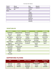| Rabbit       | Moose    | Bass             | Mussels |
|--------------|----------|------------------|---------|
| Sheep        | Woodcock | <b>Haddock</b>   | Oysters |
| Wild Boar    | Elk      | Turbot           |         |
| <b>Bison</b> |          | $\mathcal{C}$ od |         |
|              |          | Tilapia          |         |
|              |          | Walleye          |         |
|              |          | Flatfish         |         |
|              |          | Grouper          |         |
|              |          | Mackerel         |         |
|              |          | Herring          |         |
|              |          | Anchovy          |         |

# **VEGETABLES**

| <b>Standards</b>       | <b>Green Leafy</b>    | Squash               | Root                  | <b>Mushrooms</b> |
|------------------------|-----------------------|----------------------|-----------------------|------------------|
| Cauliflower            | <b>Collard Greens</b> | <b>Butternut</b>     | Turnips               | Oyster           |
| Broccoli               | Lettuce               | Spaghetti            | Carrots               | <b>Button</b>    |
| Celery                 | Spinach               | Acorn                | <b>Beets</b>          | Portabella       |
| <b>Bell Peppers</b>    | Watercress            | Pumpkin              | Parsnips              | Chanterelle      |
| Onions                 | <b>Beet Top</b>       | Zucchini             | Artichokes            | Porcini          |
| Leeks                  | Dandelion             | <b>Yellow Summer</b> | Rutabaga              | Shiitake         |
| <b>Green Onions</b>    | Swiss Chard           | Buttercup            | <b>Sweet Potatoes</b> | Crimini          |
| Eggplant               | Mustard Greens        | Crookneck            | Radish                | Morel            |
| <b>Brussels Sprout</b> | Kale                  |                      | Yams                  |                  |
| Artichokes             | Turnip Greens         |                      | Cassava               |                  |
| Asparagus              | Seaweed               |                      |                       |                  |
| Cucumber               | Endive                |                      |                       |                  |
| Cabbage                | Arugula               |                      |                       |                  |
| Okra                   |                       |                      |                       |                  |
| Avocados               |                       |                      |                       |                  |

# **SUPPORTING PLAYERS**

| <b>Fats</b> | <b>Fruits</b>  | Nuts & Seeds       | <b>Flavor</b>    | Fresh & Dry  |
|-------------|----------------|--------------------|------------------|--------------|
|             |                |                    | <b>Enhancers</b> | <b>Herbs</b> |
| Olive Oil   | Apples         | <b>Brazil Nuts</b> | Cayenne Pepper   | Parsley      |
| Avocado     | Oranges        | Pistachios         | Chilies          | Thyme        |
| Coconut Oil | <b>Bananas</b> | Sunflower          | Ginger           | Lavender     |
|             |                | Seeds              |                  |              |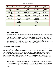| <b>Clarified Butter</b> | Strawberry        | Pumpkin Seeds       | Onions               | Mint              |
|-------------------------|-------------------|---------------------|----------------------|-------------------|
| Lard                    | Cranberry         | <b>Sesame Seeds</b> | Garlic               | Rosemary          |
| Tallow                  | Grapefruit        | Pecans              | <b>Black Pepper</b>  | Chives            |
| Veal Fat                | Peaches           | Walnuts             | <b>Hot Peppers</b>   | Tarragon          |
| Duck Fat                | Pears             | Macadamia Nuts      | <b>Star Anise</b>    | Oregano           |
| Coconut Flesh           | <b>Nectarines</b> | <b>Pine Nuts</b>    | <b>Mustard Seeds</b> | Dill              |
| Nut Oils                | Plums             | Chestnuts           | Fennel Seeds         | <b>Bay Leaves</b> |
| Nut Butter              | Pomegranates      | Cashews             | Cumin                | Sage              |
| Lamb Fat                | Pineapple         | Hazelnuts           | Turmeric             | Coriander         |
|                         | Grapes            | Almonds             | Cinnamon             |                   |
|                         | Papaya            |                     | Paprika              |                   |
|                         | Cantaloupe        |                     | Nutmeg               |                   |
|                         | Kiwi              |                     | Cloves               |                   |
|                         | Lychee            |                     | Vanilla              |                   |

#### **Foods to Eliminate**

The main foods to eliminate are processed foods, the largest source of toxicity and malnutrition. Processed foods are the easiest items to eat these days, and we eat entirely too much. Grains that form the base of sandwich breads, cereals and pasta have no place in the Paleo Diet. Also, the processed fats and vegetable seed oils are also counterproductive to our health. Legumes, especially soy, and vegetable seed oils should be banished from your diet. There are no refined sugars little dairy and absolutely no processed foods in the Paleo plan.

### **Tips for the Paleo Lifestyle**

Unfortunately, the cheapest and quickest foods available today are usually the least nutritious. Our busy lifestyles have our kids raised on a diet of processed and fast foods. The popular culture even makes eating real foods an odd concept. Even knowing the proven benefits, some never try the Paleo diet because they believe it is too difficult. Living a long, healthy fulfilling life is well worth a few small changes. While not as easy as stopping at a drive through, maintaining a Paleo lifestyle is realistic with a few tips.

• Stay Organized- The number one tip is to be organized and prepared. The biggest challenge will be to have Paleo foods available at your home and plan your meals. You are much more likely to eat healthy food choices if it is readily available at home.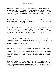- Change How You Shop- Find the best farmers markets, butchers and grocery stores in your area. Before going to the grocery have a list of items you plan to pick up. Also, shop the perimeter of grocery stores to avoid the aisles filled with processed foods. This may be difficult at first, but after a month or so you will know longer feel a need to peruse the sugar aisles.
- Clean Your Pantry- Clear your cupboards of all the cereals, pasta, and processed foods in your cabinets. Don't worry. You will replace these foods with much more satisfying fresh and healthy foods.
- Learn to Work the Kitchen- Unlike a diet based on grains, there are many foods to eat on the Paleo Diet you should never become bored. The best way to take advantage of everything nature has to offer is to learn how to cook. By combining the diverse flavors, there is an endless amount of tasty dishes to excite your taste buds.
- Dress Your Food- Most of the condiments on the store shelves are filled with preservatives. However, you can enhance the flavor of your foods by making your own condiments at home. Ketchup, mustard, salad dressings and sauces can be made at home naturally with delicious results.
- Exercise- Just changing your eating habits will cause you to lose weight naturally on the Paleo Diet. Add exercise to the mix, and you will be amazed at how quickly you notice a difference. Your true, toned physique will come out as pounds shed. You will also notice the amount of energy increased compared to when you ate a traditional diet. Start feeling strong, energetic, mentally sharper and all around younger.
- Join Support System- Find chat rooms and forums where like-minded people meet. Participate at a gym where the Paleo Diet is the main lifestyle choice. It is nice to share ideas on the best Paleo books, and even give advice on keeping true to the diet plan. Joining a community online or in person is extremely motivating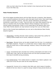when you learn about how the other member's lives improved just from staying true to the Paleo way.

#### **Paleo Friendly Desserts**

One of the biggest stumbling blocks with the Paleo Diet plan is desserts. Most desserts have unnatural sweeteners and starchy carbs that spike insulin levels. Most sweet treats are a recipe for disaster. However, with kids, special celebrations and Birthdays sometimes a sweet treat is in order. There are some very tasty Paleo desserts that can help you transition fully into the Paleo lifestyle without indulging in bad choices or having a gluten stomachache. While it is not a good idea to eat desserts after every meal, Paleo friendly desserts can stop hardcore cravings from your pre-Paleo days.

Here is a list of whole food substitutions you can use to whip delicious Paleo friendly desserts together.

- Almond flour- Grinding almonds create nutritious, high protein flour perfect for making muffins breads and of course, traditional macaroons.
- Raw Honey- Because honey can be eaten straight from the tree, it is considered a true Paleo sweetener. Though it is a whole food, honey is highly caloric and does spike the insulin level, so leave sparingly. However, honey is the perfect sugar substitute.
- Cocoa- Unsweetened dark chocolate has nutritious antioxidants and sticks to the limited dairy rules. Opt for the natural cocoa over the Dutch processed version that loses its benefits during processing.
- Pure Vanilla Extract- Pure vanilla extract is a staple in any bakers cupboard. Just make sure to buy the pure stuff not the cheap flavoring.
- Coconut Oil- Coconut oil is a medium chain fatty acid, which means it transfers directly to the liver where it is used for energy instead of being stored directly as